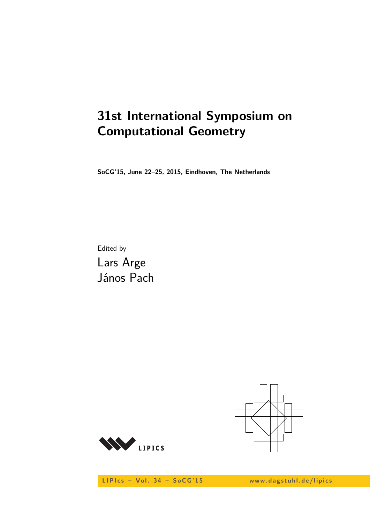# **31st International Symposium on Computational Geometry**

**SoCG'15, June 22–25, 2015, Eindhoven, The Netherlands**

Edited by Lars Arge János Pach





LIPIcs - Vol. 34 - SoCG'15 www.dagstuhl.de/lipics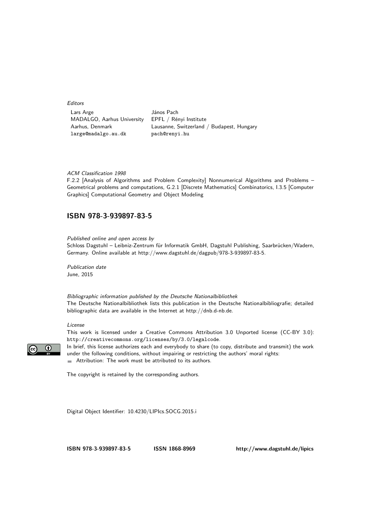Editors

Lars Arge János Pach MADALGO, Aarhus University EPFL / Rényi Institute large@madalgo.au.dk pach@renyi.hu

Aarhus, Denmark Lausanne, Switzerland / Budapest, Hungary

#### ACM Classification 1998

F.2.2 [Analysis of Algorithms and Problem Complexity] Nonnumerical Algorithms and Problems – Geometrical problems and computations, G.2.1 [Discrete Mathematics] Combinatorics, I.3.5 [Computer Graphics] Computational Geometry and Object Modeling

#### **[ISBN 978-3-939897-83-5](http://www.dagstuhl.de/dagpub/978-3-939897-83-5)**

Published online and open access by

Schloss Dagstuhl – Leibniz-Zentrum für Informatik GmbH, Dagstuhl Publishing, Saarbrücken/Wadern, Germany. Online available at [http://www.dagstuhl.de/dagpub/978-3-939897-83-5.](http://www.dagstuhl.de/dagpub/978-3-939897-83-5)

Publication date June, 2015

Bibliographic information published by the Deutsche Nationalbibliothek The Deutsche Nationalbibliothek lists this publication in the Deutsche Nationalbibliografie; detailed bibliographic data are available in the Internet at [http://dnb.d-nb.de.](http://dnb.d-nb.de)

#### License

This work is licensed under a Creative Commons Attribution 3.0 Unported license (CC-BY 3.0): http://creativecommons.org/licenses/by/3.0/legalcode.



In brief, this license authorizes each and everybody to share (to copy, distribute and transmit) the work under the following conditions, without impairing or restricting the authors' moral rights:

Attribution: The work must be attributed to its authors.

The copyright is retained by the corresponding authors.

Digital Object Identifier: [10.4230/LIPIcs.SOCG.2015.i](http://dx.doi.org/10.4230/LIPIcs.SOCG.2015.i)

**[ISBN 978-3-939897-83-5](http://www.dagstuhl.de/dagpub/978-3-939897-83-5) [ISSN 1868-8969](http://drops.dagstuhl.de/lipics)<http://www.dagstuhl.de/lipics>**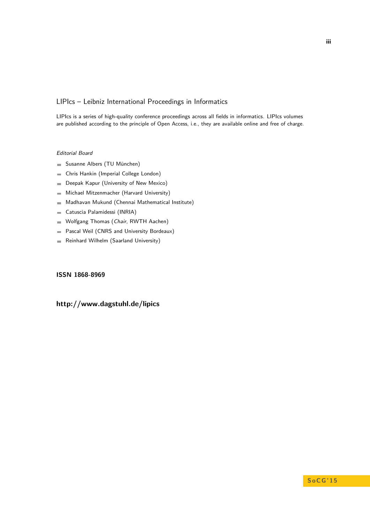#### LIPIcs – Leibniz International Proceedings in Informatics

LIPIcs is a series of high-quality conference proceedings across all fields in informatics. LIPIcs volumes are published according to the principle of Open Access, i.e., they are available online and free of charge.

#### Editorial Board

- Susanne Albers (TU München)
- Chris Hankin (Imperial College London)  $\overline{\phantom{a}}$
- Deepak Kapur (University of New Mexico)  $\blacksquare$
- Michael Mitzenmacher (Harvard University)  $\equiv$
- Madhavan Mukund (Chennai Mathematical Institute)  $\sim$
- Catuscia Palamidessi (INRIA)  $\blacksquare$
- Wolfgang Thomas (Chair, RWTH Aachen)  $\blacksquare$
- Pascal Weil (CNRS and University Bordeaux)  $\blacksquare$
- Reinhard Wilhelm (Saarland University)  $\blacksquare$

#### **[ISSN 1868-8969](http://www.dagstuhl.de/dagpub/1868-8969)**

## **<http://www.dagstuhl.de/lipics>**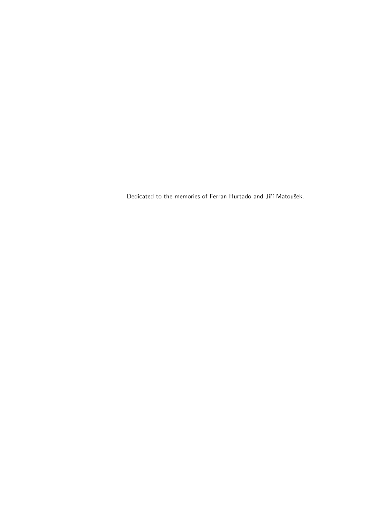Dedicated to the memories of Ferran Hurtado and Jiří Matoušek.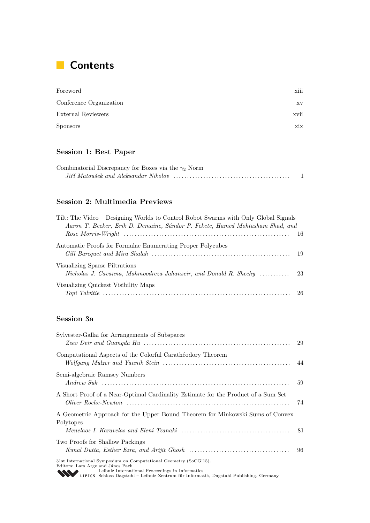# **Contents**

| Foreword                | xiii |
|-------------------------|------|
| Conference Organization | XV   |
| External Reviewers      | xvii |
| <b>Sponsors</b>         | xix  |

# **Session 1: Best Paper**

| Combinatorial Discrepancy for Boxes via the $\gamma_2$ Norm |  |
|-------------------------------------------------------------|--|
|                                                             |  |

# **Session 2: Multimedia Previews**

| Tilt: The Video – Designing Worlds to Control Robot Swarms with Only Global Signals<br>Aaron T. Becker, Erik D. Demaine, Sándor P. Fekete, Hamed Mohtasham Shad, and |  |
|----------------------------------------------------------------------------------------------------------------------------------------------------------------------|--|
|                                                                                                                                                                      |  |
| Automatic Proofs for Formulae Enumerating Proper Polycubes                                                                                                           |  |
| Visualizing Sparse Filtrations                                                                                                                                       |  |
| Visualizing Quickest Visibility Maps                                                                                                                                 |  |

# **Session 3a**

| Sylvester-Gallai for Arrangements of Subspaces                                                                                                                                                                                                       | -29 |
|------------------------------------------------------------------------------------------------------------------------------------------------------------------------------------------------------------------------------------------------------|-----|
| Computational Aspects of the Colorful Carathéodory Theorem                                                                                                                                                                                           |     |
| Semi-algebraic Ramsey Numbers                                                                                                                                                                                                                        | 59  |
| A Short Proof of a Near-Optimal Cardinality Estimate for the Product of a Sum Set                                                                                                                                                                    | 74  |
| A Geometric Approach for the Upper Bound Theorem for Minkowski Sums of Convex<br>Polytopes                                                                                                                                                           | -81 |
| Two Proofs for Shallow Packings                                                                                                                                                                                                                      | -96 |
| 31st International Symposium on Computational Geometry (SoCG'15).<br>Editors: Lars Arge and János Pach<br>Leibniz International Proceedings in Informatics<br>LIPICS Schloss Dagstuhl – Leibniz-Zentrum für Informatik, Dagstuhl Publishing, Germany |     |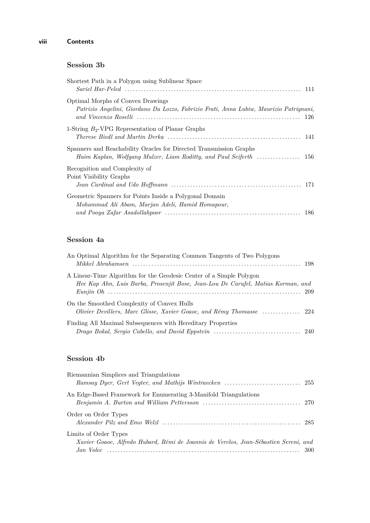## **Session 3b**

| Shortest Path in a Polygon using Sublinear Space                                                                            |  |
|-----------------------------------------------------------------------------------------------------------------------------|--|
| Optimal Morphs of Convex Drawings<br>Patrizio Angelini, Giordano Da Lozzo, Fabrizio Frati, Anna Lubiw, Maurizio Patrignani, |  |
| 1-String $B_2$ -VPG Representation of Planar Graphs                                                                         |  |
| Spanners and Reachability Oracles for Directed Transmission Graphs                                                          |  |
| Recognition and Complexity of<br>Point Visibility Graphs                                                                    |  |
| Geometric Spanners for Points Inside a Polygonal Domain<br>Mohammad Ali Abam, Marjan Adeli, Hamid Homapour,                 |  |

## **Session 4a**

| An Optimal Algorithm for the Separating Common Tangents of Two Polygons          |  |
|----------------------------------------------------------------------------------|--|
|                                                                                  |  |
| A Linear-Time Algorithm for the Geodesic Center of a Simple Polygon              |  |
| Hee Kap Ahn, Luis Barba, Prosenjit Bose, Jean-Lou De Carufel, Matias Korman, and |  |
|                                                                                  |  |
| On the Smoothed Complexity of Convex Hulls                                       |  |
|                                                                                  |  |
| Finding All Maximal Subsequences with Hereditary Properties                      |  |
|                                                                                  |  |

# **Session 4b**

| Riemannian Simplices and Triangulations                                              |  |
|--------------------------------------------------------------------------------------|--|
|                                                                                      |  |
| An Edge-Based Framework for Enumerating 3-Manifold Triangulations                    |  |
|                                                                                      |  |
| Order on Order Types                                                                 |  |
|                                                                                      |  |
| Limits of Order Types                                                                |  |
| Xavier Goaoc, Alfredo Hubard, Rémi de Joannis de Verclos, Jean-Sébastien Sereni, and |  |
|                                                                                      |  |
|                                                                                      |  |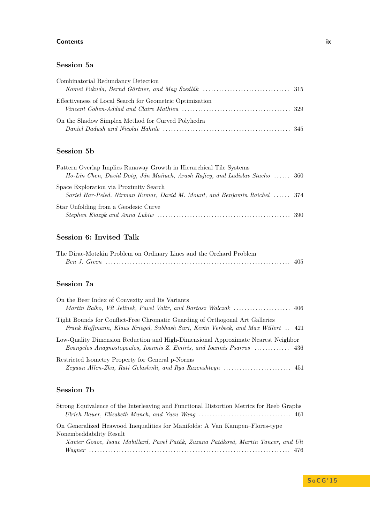#### **Contents ix**

### **Session 5a**

| Combinatorial Redundancy Detection                                                                                                                                                                  |  |
|-----------------------------------------------------------------------------------------------------------------------------------------------------------------------------------------------------|--|
|                                                                                                                                                                                                     |  |
| Effectiveness of Local Search for Geometric Optimization<br>Vincent Cohen-Addad and Claire Mathieu $\ldots \ldots \ldots \ldots \ldots \ldots \ldots \ldots \ldots \ldots \ldots \ldots \ldots$ 329 |  |
| On the Shadow Simplex Method for Curved Polyhedra                                                                                                                                                   |  |

## **Session 5b**

| Pattern Overlap Implies Runaway Growth in Hierarchical Tile Systems                                                 |  |
|---------------------------------------------------------------------------------------------------------------------|--|
| Ho-Lin Chen, David Doty, Ján Maňuch, Arash Rafiey, and Ladislav Stacho  360                                         |  |
| Space Exploration via Proximity Search<br>Sariel Har-Peled, Nirman Kumar, David M. Mount, and Benjamin Raichel  374 |  |
| Star Unfolding from a Geodesic Curve                                                                                |  |

# **Session 6: Invited Talk**

| The Dirac-Motzkin Problem on Ordinary Lines and the Orchard Problem |  |
|---------------------------------------------------------------------|--|
|                                                                     |  |

# **Session 7a**

| On the Beer Index of Convexity and Its Variants                                   |  |
|-----------------------------------------------------------------------------------|--|
|                                                                                   |  |
| Tight Bounds for Conflict-Free Chromatic Guarding of Orthogonal Art Galleries     |  |
| Frank Hoffmann, Klaus Kriegel, Subhash Suri, Kevin Verbeek, and Max Willert  421  |  |
| Low-Quality Dimension Reduction and High-Dimensional Approximate Nearest Neighbor |  |
| Evangelos Anagnostopoulos, Ioannis Z. Emiris, and Ioannis Psarros  436            |  |
| Restricted Isometry Property for General p-Norms                                  |  |
|                                                                                   |  |

## **Session 7b**

| Strong Equivalence of the Interleaving and Functional Distortion Metrics for Reeb Graphs |  |
|------------------------------------------------------------------------------------------|--|
|                                                                                          |  |
| On Generalized Heawood Inequalities for Manifolds: A Van Kampen-Flores-type              |  |
| Nonembeddability Result                                                                  |  |
| Xavier Goaoc, Isaac Mabillard, Pavel Paták, Zuzana Patáková, Martin Tancer, and Uli      |  |
|                                                                                          |  |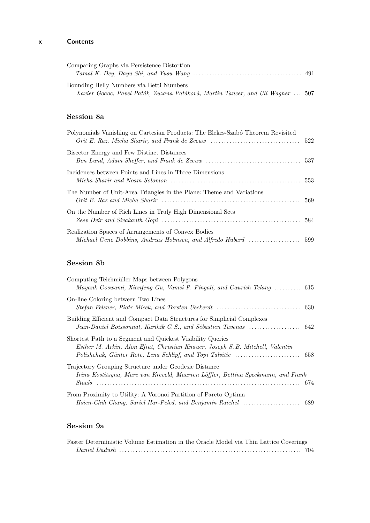## **x Contents**

| Comparing Graphs via Persistence Distortion                                    |  |
|--------------------------------------------------------------------------------|--|
| Bounding Helly Numbers via Betti Numbers                                       |  |
| Xavier Goaoc, Pavel Paták, Zuzana Patáková, Martin Tancer, and Uli Wagner  507 |  |

### **Session 8a**

| Polynomials Vanishing on Cartesian Products: The Elekes-Szabó Theorem Revisited |  |
|---------------------------------------------------------------------------------|--|
| Bisector Energy and Few Distinct Distances                                      |  |
| Incidences between Points and Lines in Three Dimensions                         |  |
| The Number of Unit-Area Triangles in the Plane: Theme and Variations            |  |
| On the Number of Rich Lines in Truly High Dimensional Sets                      |  |
| Realization Spaces of Arrangements of Convex Bodies                             |  |

## **Session 8b**

| Computing Teichmüller Maps between Polygons<br>Mayank Goswami, Xianfeng Gu, Vamsi P. Pingali, and Gaurish Telang  615                        |  |
|----------------------------------------------------------------------------------------------------------------------------------------------|--|
| On-line Coloring between Two Lines                                                                                                           |  |
| Building Efficient and Compact Data Structures for Simplicial Complexes                                                                      |  |
| Shortest Path to a Segment and Quickest Visibility Queries<br>Esther M. Arkin, Alon Efrat, Christian Knauer, Joseph S. B. Mitchell, Valentin |  |
| Trajectory Grouping Structure under Geodesic Distance<br>Irina Kostitsyna, Marc van Kreveld, Maarten Löffler, Bettina Speckmann, and Frank   |  |
| From Proximity to Utility: A Voronoi Partition of Pareto Optima                                                                              |  |

# **Session 9a**

| Faster Deterministic Volume Estimation in the Oracle Model via Thin Lattice Coverings |  |  |  |  |  |
|---------------------------------------------------------------------------------------|--|--|--|--|--|
|                                                                                       |  |  |  |  |  |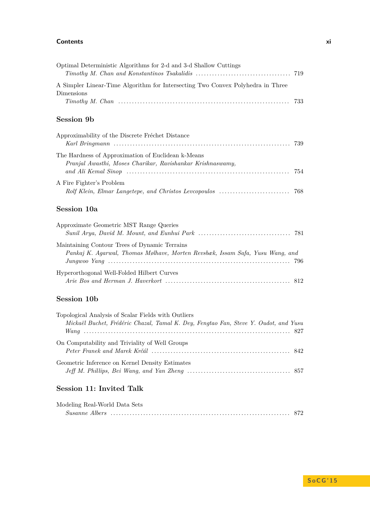#### **Contents xi**

| Optimal Deterministic Algorithms for 2-d and 3-d Shallow Cuttings<br>719                                                                    |  |
|---------------------------------------------------------------------------------------------------------------------------------------------|--|
| A Simpler Linear-Time Algorithm for Intersecting Two Convex Polyhedra in Three<br>Dimensions<br>733                                         |  |
| <b>Session 9b</b>                                                                                                                           |  |
| Approximability of the Discrete Fréchet Distance<br>739                                                                                     |  |
| The Hardness of Approximation of Euclidean k-Means<br>Pranjal Awasthi, Moses Charikar, Ravishankar Krishnaswamy,<br>754                     |  |
| A Fire Fighter's Problem<br>Rolf Klein, Elmar Langetepe, and Christos Leveopoulos<br>768                                                    |  |
| Session 10a                                                                                                                                 |  |
| Approximate Geometric MST Range Queries                                                                                                     |  |
| Maintaining Contour Trees of Dynamic Terrains<br>Pankaj K. Agarwal, Thomas Mølhave, Morten Revsbæk, Issam Safa, Yusu Wang, and              |  |
| Hyperorthogonal Well-Folded Hilbert Curves                                                                                                  |  |
| <b>Session 10b</b>                                                                                                                          |  |
| Topological Analysis of Scalar Fields with Outliers<br>Mickaël Buchet, Frédéric Chazal, Tamal K. Dey, Fengtao Fan, Steve Y. Oudot, and Yusu |  |
| On Computability and Triviality of Well Groups                                                                                              |  |
| Geometric Inference on Kernel Density Estimates                                                                                             |  |

## **Session 11: Invited Talk**

| Modeling Real-World Data Sets |                           |  |
|-------------------------------|---------------------------|--|
|                               | Susanne Albers (1997) 872 |  |

*Jeff M. Phillips, Bei Wang, and Yan Zheng* . . . . . . . . . . . . . . . . . . . . . . . . . . . . . . . . . . . . . . 857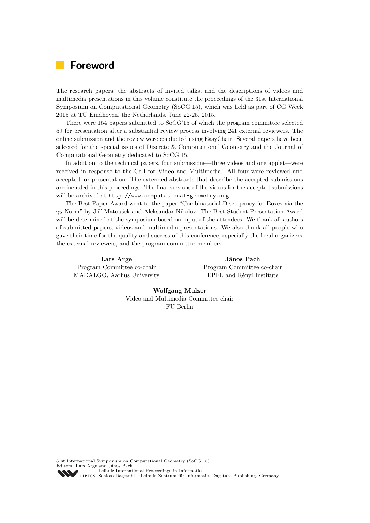# **Foreword**

The research papers, the abstracts of invited talks, and the descriptions of videos and multimedia presentations in this volume constitute the proceedings of the 31st International Symposium on Computational Geometry (SoCG'15), which was held as part of CG Week 2015 at TU Eindhoven, the Netherlands, June 22-25, 2015.

There were 154 papers submitted to SoCG'15 of which the program committee selected 59 for presentation after a substantial review process involving 241 external reviewers. The online submission and the review were conducted using EasyChair. Several papers have been selected for the special issues of Discrete & Computational Geometry and the Journal of Computational Geometry dedicated to SoCG'15.

In addition to the technical papers, four submissions—three videos and one applet—were received in response to the Call for Video and Multimedia. All four were reviewed and accepted for presentation. The extended abstracts that describe the accepted submissions are included in this proceedings. The final versions of the videos for the accepted submissions will be archived at <http://www.computational-geometry.org>.

The Best Paper Award went to the paper "Combinatorial Discrepancy for Boxes via the *γ*<sup>2</sup> Norm" by Jiří Matoušek and Aleksandar Nikolov. The Best Student Presentation Award will be determined at the symposium based on input of the attendees. We thank all authors of submitted papers, videos and multimedia presentations. We also thank all people who gave their time for the quality and success of this conference, especially the local organizers, the external reviewers, and the program committee members.

**Lars Arge** Program Committee co-chair MADALGO, Aarhus University

**János Pach** Program Committee co-chair EPFL and Rényi Institute

**Wolfgang Mulzer** Video and Multimedia Committee chair FU Berlin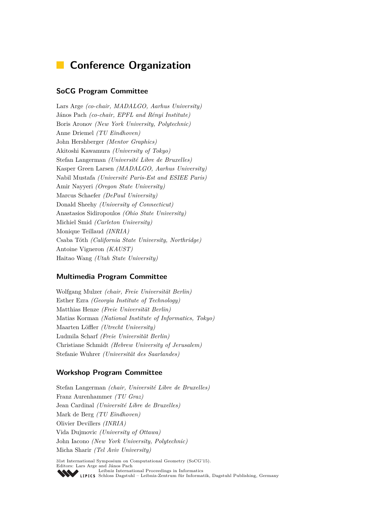# **Conference Organization**

#### **SoCG Program Committee**

Lars Arge *(co-chair, MADALGO, Aarhus University)* János Pach *(co-chair, EPFL and Rényi Institute)* Boris Aronov *(New York University, Polytechnic)* Anne Driemel *(TU Eindhoven)* John Hershberger *(Mentor Graphics)* Akitoshi Kawamura *(University of Tokyo)* Stefan Langerman *(Université Libre de Bruxelles)* Kasper Green Larsen *(MADALGO, Aarhus University)* Nabil Mustafa *(Université Paris-Est and ESIEE Paris)* Amir Nayyeri *(Oregon State University)* Marcus Schaefer *(DePaul University)* Donald Sheehy *(University of Connecticut)* Anastasios Sidiropoulos *(Ohio State University)* Michiel Smid *(Carleton University)* Monique Teillaud *(INRIA)* Csaba Tóth *(California State University, Northridge)* Antoine Vigneron *(KAUST)* Haitao Wang *(Utah State University)*

#### **Multimedia Program Committee**

Wolfgang Mulzer *(chair, Freie Universität Berlin)* Esther Ezra *(Georgia Institute of Technology)* Matthias Henze *(Freie Universität Berlin)* Matias Korman *(National Institute of Informatics, Tokyo)* Maarten Löffler *(Utrecht University)* Ludmila Scharf *(Freie Universität Berlin)* Christiane Schmidt *(Hebrew University of Jerusalem)* Stefanie Wuhrer *(Universität des Saarlandes)*

#### **Workshop Program Committee**

Stefan Langerman *(chair, Université Libre de Bruxelles)* Franz Aurenhammer *(TU Graz)* Jean Cardinal *(Université Libre de Bruxelles)* Mark de Berg *(TU Eindhoven)* Olivier Devillers *(INRIA)* Vida Dujmovic *(University of Ottawa)* John Iacono *(New York University, Polytechnic)* Micha Sharir *(Tel Aviv University)*

31st International Symposium on Computational Geometry (SoCG'15). Editors: Lars Arge and János Pach [Leibniz International Proceedings in Informatics](http://www.dagstuhl.de/en/publications/lipics/) [Schloss Dagstuhl – Leibniz-Zentrum für Informatik, Dagstuhl Publishing, Germany](http://www.dagstuhl.de/en/about-dagstuhl/)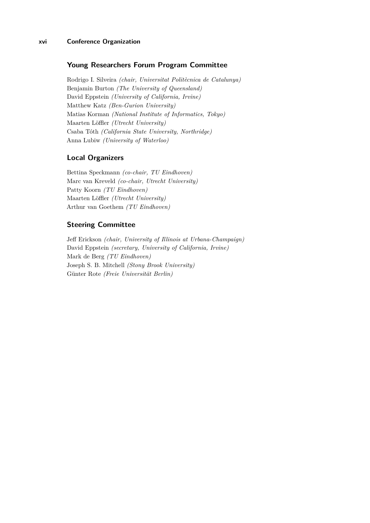#### **xvi Conference Organization**

#### **Young Researchers Forum Program Committee**

Rodrigo I. Silveira *(chair, Universitat Politècnica de Catalunya)* Benjamin Burton *(The University of Queensland)* David Eppstein *(University of California, Irvine)* Matthew Katz *(Ben-Gurion University)* Matias Korman *(National Institute of Informatics, Tokyo)* Maarten Löffler *(Utrecht University)* Csaba Tóth *(California State University, Northridge)* Anna Lubiw *(University of Waterloo)*

#### **Local Organizers**

Bettina Speckmann *(co-chair, TU Eindhoven)* Marc van Kreveld *(co-chair, Utrecht University)* Patty Koorn *(TU Eindhoven)* Maarten Löffler *(Utrecht University)* Arthur van Goethem *(TU Eindhoven)*

#### **Steering Committee**

Jeff Erickson *(chair, University of Illinois at Urbana-Champaign)* David Eppstein *(secretary, University of California, Irvine)* Mark de Berg *(TU Eindhoven)* Joseph S. B. Mitchell *(Stony Brook University)* Günter Rote *(Freie Universität Berlin)*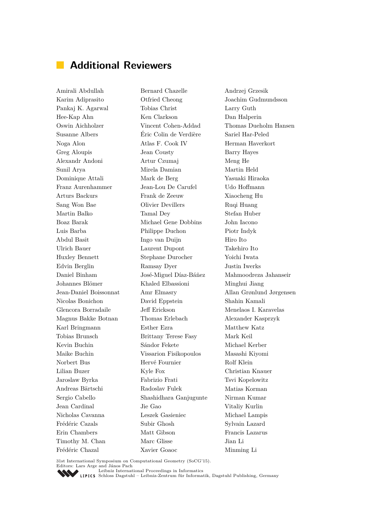# **Additional Reviewers**

Amirali Abdullah Karim Adiprasito Pankaj K. Agarwal Hee-Kap Ahn Oswin Aichholzer Susanne Albers Noga Alon Greg Aloupis Alexandr Andoni Sunil Arya Dominique Attali Franz Aurenhammer Arturs Backurs Sang Won Bae Martin Balko Boaz Barak Luis Barba Abdul Basit Ulrich Bauer Huxley Bennett Edvin Berglin Daniel Binham Johannes Blömer Jean-Daniel Boissonnat Nicolas Bonichon Glencora Borradaile Magnus Bakke Botnan Karl Bringmann Tobias Brunsch Kevin Buchin Maike Buchin Norbert Bus Lilian Buzer Jaroslaw Byrka Andreas Bärtschi Sergio Cabello Jean Cardinal Nicholas Cavanna Frédéric Cazals Erin Chambers Timothy M. Chan Frédéric Chazal

Bernard Chazelle Otfried Cheong Tobias Christ Ken Clarkson Vincent Cohen-Addad Éric Colin de Verdière Atlas F. Cook IV Jean Cousty Artur Czumaj Mirela Damian Mark de Berg Jean-Lou De Carufel Frank de Zeeuw Olivier Devillers Tamal Dey Michael Gene Dobbins Philippe Duchon Ingo van Duijn Laurent Dupont Stephane Durocher Ramsay Dyer José-Miguel Díaz-Báñez Khaled Elbassioni Amr Elmasry David Eppstein Jeff Erickson Thomas Erlebach Esther Ezra Brittany Terese Fasy Sándor Fekete Vissarion Fisikopoulos Hervé Fournier Kyle Fox Fabrizio Frati Radoslav Fulek Shashidhara Ganjugunte Jie Gao Leszek Gasieniec Subir Ghosh Matt Gibson Marc Glisse Xavier Goaoc

Andrzej Grzesik Joachim Gudmundsson Larry Guth Dan Halperin Thomas Dueholm Hansen Sariel Har-Peled Herman Haverkort Barry Hayes Meng He Martin Held Yasuaki Hiraoka Udo Hoffmann Xiaocheng Hu Ruqi Huang Stefan Huber John Iacono Piotr Indyk Hiro Ito Takehiro Ito Yoichi Iwata Justin Iwerks Mahmoodreza Jahanseir Minghui Jiang Allan Grønlund Jørgensen Shahin Kamali Menelaos I. Karavelas Alexander Kasprzyk Matthew Katz Mark Keil Michael Kerber Masashi Kiyomi Rolf Klein Christian Knauer Tsvi Kopelowitz Matias Korman Nirman Kumar Vitaliy Kurlin Michael Lampis Sylvain Lazard Francis Lazarus Jian Li Minming Li

31st International Symposium on Computational Geometry (SoCG'15).

Editors: Lars Arge and János Pach [Leibniz International Proceedings in Informatics](http://www.dagstuhl.de/en/publications/lipics/)

SCHLOSS Dagstuhl – Leibniz-Zentrum für Informatik, Dagstuhl Publishing, Germany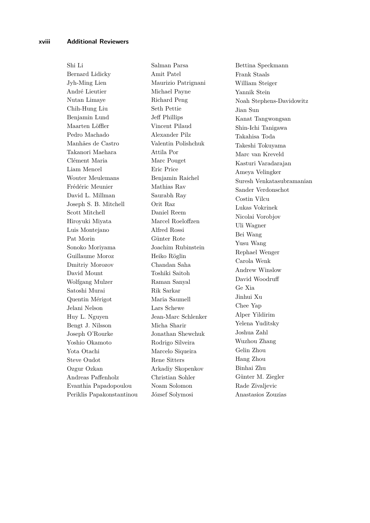Shi Li Bernard Lidicky Jyh-Ming Lien André Lieutier Nutan Limaye Chih-Hung Liu Benjamin Lund Maarten Löffler Pedro Machado Manhães de Castro Takanori Maehara Clément Maria Liam Mencel Wouter Meulemans Frédéric Meunier David L. Millman Joseph S. B. Mitchell Scott Mitchell Hiroyuki Miyata Luis Montejano Pat Morin Sonoko Moriyama Guillaume Moroz Dmitriy Morozov David Mount Wolfgang Mulzer Satoshi Murai Quentin Mérigot Jelani Nelson Huy L. Nguyen Bengt J. Nilsson Joseph O'Rourke Yoshio Okamoto Yota Otachi Steve Oudot Ozgur Ozkan Andreas Paffenholz Evanthia Papadopoulou Periklis Papakonstantinou Salman Parsa Amit Patel Maurizio Patrignani Michael Payne Richard Peng Seth Pettie Jeff Phillips Vincent Pilaud Alexander Pilz Valentin Polishchuk Attila Por Marc Pouget Eric Price Benjamin Raichel Mathias Rav Saurabh Ray Orit Raz Daniel Reem Marcel Roeloffzen Alfred Rossi Günter Rote Joachim Rubinstein Heiko Röglin Chandan Saha Toshiki Saitoh Raman Sanyal Rik Sarkar Maria Saumell Lars Schewe Jean-Marc Schlenker Micha Sharir Jonathan Shewchuk Rodrigo Silveira Marcelo Siqueira Rene Sitters Arkadiy Skopenkov Christian Sohler Noam Solomon József Solymosi

Bettina Speckmann Frank Staals William Steiger Yannik Stein Noah Stephens-Davidowitz Jian Sun Kanat Tangwongsan Shin-Ichi Tanigawa Takahisa Toda Takeshi Tokuyama Marc van Kreveld Kasturi Varadarajan Ameya Velingker Suresh Venkatasubramanian Sander Verdonschot Costin Vilcu Lukas Vokrinek Nicolai Vorobjov Uli Wagner Bei Wang Yusu Wang Rephael Wenger Carola Wenk Andrew Winslow David Woodruff Ge Xia Jinhui Xu Chee Yap Alper Yildirim Yelena Yuditsky Joshua Zahl Wuzhou Zhang Gelin Zhou Hang Zhou Binhai Zhu Günter M. Ziegler Rade Zivaljevic Anastasios Zouzias